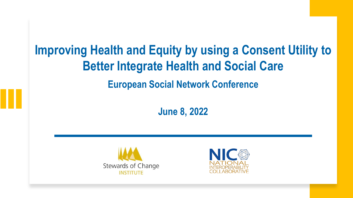# **Improving Health and Equity by using a Consent Utility to Better Integrate Health and Social Care European Social Network Conference**

**June 8, 2022**



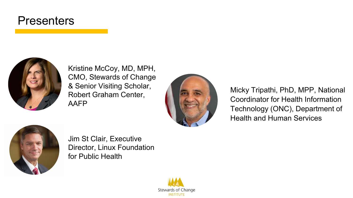## **Presenters**



Kristine McCoy, MD, MPH, CMO, Stewards of Change & Senior Visiting Scholar, Robert Graham Center, AAFP



Micky Tripathi, PhD, MPP, National Coordinator for Health Information Technology (ONC), Department of Health and Human Services



Jim St Clair, Executive Director, Linux Foundation for Public Health

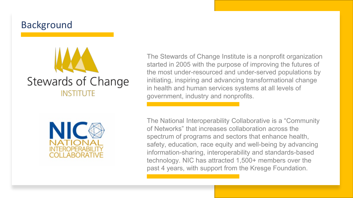### Background



The Stewards of Change Institute is a nonprofit organization started in 2005 with the purpose of improving the futures of the most under-resourced and under-served populations by initiating, inspiring and advancing transformational change in health and human services systems at all levels of government, industry and nonprofits.



The National Interoperability Collaborative is a "Community of Networks" that increases collaboration across the spectrum of programs and sectors that enhance health, safety, education, race equity and well-being by advancing information-sharing, interoperability and standards-based technology. NIC has attracted 1,500+ members over the past 4 years, with support from the Kresge Foundation.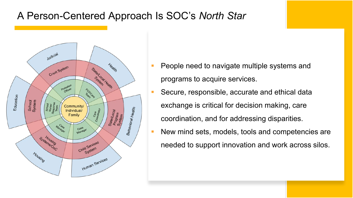## A Person-Centered Approach Is SOC's *North Star*



- People need to navigate multiple systems and programs to acquire services.
- Secure, responsible, accurate and ethical data exchange is critical for decision making, care coordination, and for addressing disparities.
- New mind sets, models, tools and competencies are needed to support innovation and work across silos.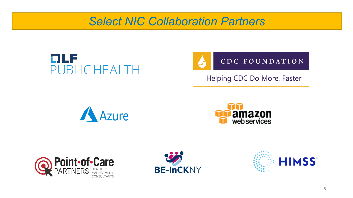## *Select NIC Collaboration Partners*





Helping CDC Do More, Faster









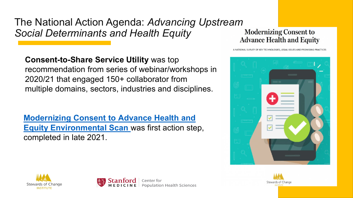The National Action Agenda: *Advancing Upstream Social Determinants and Health Equity*

**Consent-to-Share Service Utility** was top recommendation from series of webinar/workshops in 2020/21 that engaged 150+ collaborator from multiple domains, sectors, industries and disciplines.

**[Modernizing Consent to Advance Health and](https://stewardsofchange.org/13479-2/) Equity Environmental Scan** was first action step, completed in late 2021.

**Modernizing Consent to Advance Health and Equity** 







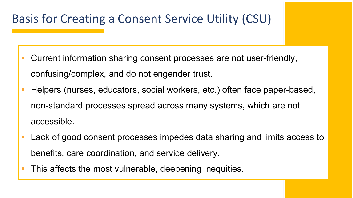# Basis for Creating a Consent Service Utility (CSU)

- Current information sharing consent processes are not user-friendly, confusing/complex, and do not engender trust.
- Helpers (nurses, educators, social workers, etc.) often face paper-based, non-standard processes spread across many systems, which are not accessible.
- Lack of good consent processes impedes data sharing and limits access to benefits, care coordination, and service delivery.
- This affects the most vulnerable, deepening inequities.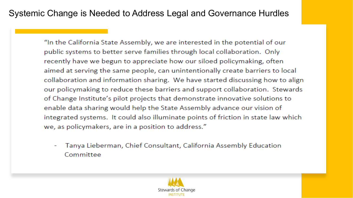### Systemic Change is Needed to Address Legal and Governance Hurdles

"In the California State Assembly, we are interested in the potential of our public systems to better serve families through local collaboration. Only recently have we begun to appreciate how our siloed policymaking, often aimed at serving the same people, can unintentionally create barriers to local collaboration and information sharing. We have started discussing how to align our policymaking to reduce these barriers and support collaboration. Stewards of Change Institute's pilot projects that demonstrate innovative solutions to enable data sharing would help the State Assembly advance our vision of integrated systems. It could also illuminate points of friction in state law which we, as policymakers, are in a position to address."

Tanya Lieberman, Chief Consultant, California Assembly Education Committee

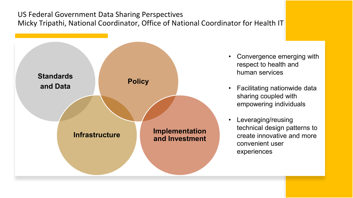#### US Federal Government Data Sharing Perspectives Micky Tripathi, National Coordinator, Office of National Coordinator for Health IT



- Convergence emerging with respect to health and human services
- Facilitating nationwide data sharing coupled with empowering individuals
- Leveraging/reusing technical design patterns to create innovative and more convenient user experiences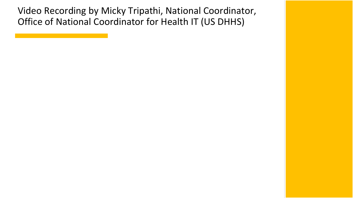Video Recording by Micky Tripathi, National Coordinator, Office of National Coordinator for Health IT (US DHHS)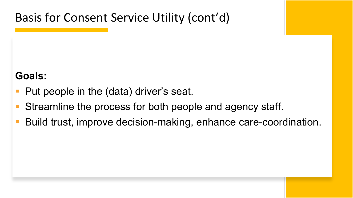Basis for Consent Service Utility (cont'd)

## **Goals:**

- Put people in the (data) driver's seat.
- Streamline the process for both people and agency staff.
- Build trust, improve decision-making, enhance care-coordination.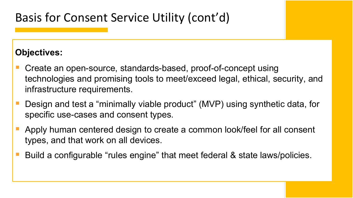# Basis for Consent Service Utility (cont'd)

### **Objectives:**

- Create an open-source, standards-based, proof-of-concept using technologies and promising tools to meet/exceed legal, ethical, security, and infrastructure requirements.
- Design and test a "minimally viable product" (MVP) using synthetic data, for specific use-cases and consent types.
- Apply human centered design to create a common look/feel for all consent types, and that work on all devices.
- Build a configurable "rules engine" that meet federal & state laws/policies.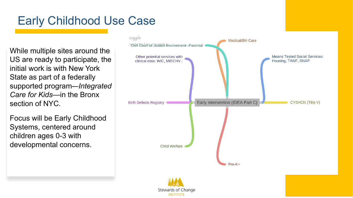# Early Childhood Use Case

While multiple sites around the US are ready to participate, the initial work is with New York State as part of a federally supported program - –*Integrated Care for Kids* —in the Bronx section of NYC.

Focus will be Early Childhood Systems, centered around children ages 0 -3 with developmental concerns.

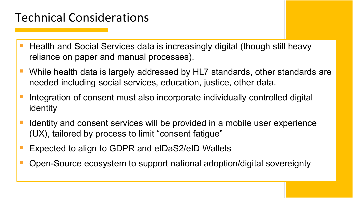# Technical Considerations

- Health and Social Services data is increasingly digital (though still heavy reliance on paper and manual processes).
- While health data is largely addressed by HL7 standards, other standards are needed including social services, education, justice, other data.
- Integration of consent must also incorporate individually controlled digital identity
- Identity and consent services will be provided in a mobile user experience (UX), tailored by process to limit "consent fatigue"
- Expected to align to GDPR and eIDaS2/eID Wallets
- Open-Source ecosystem to support national adoption/digital sovereignty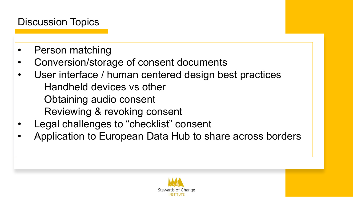## Discussion Topics

- Person matching
- Conversion/storage of consent documents
- User interface / human centered design best practices Handheld devices vs other Obtaining audio consent Reviewing & revoking consent
- Legal challenges to "checklist" consent
- Application to European Data Hub to share across borders